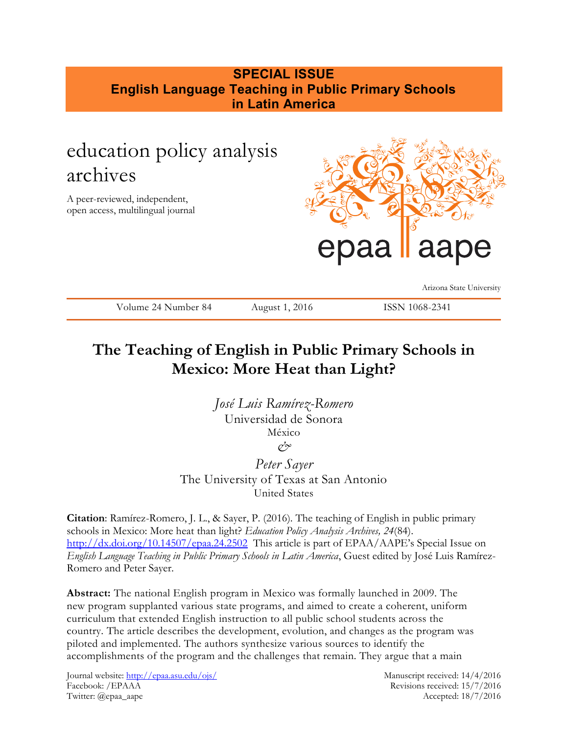# **SPECIAL ISSUE English Language Teaching in Public Primary Schools in Latin America**

# education policy analysis archives

A peer-reviewed, independent, open access, multilingual journal



Arizona State University

Volume 24 Number 84 August 1, 2016 ISSN 1068-2341

# **The Teaching of English in Public Primary Schools in Mexico: More Heat than Light?**

*José Luis Ramírez-Romero* Universidad de Sonora México *&*

*Peter Sayer* The University of Texas at San Antonio United States

**Citation**: Ramírez-Romero, J. L., & Sayer, P. (2016). The teaching of English in public primary schools in Mexico: More heat than light? *Education Policy Analysis Archives, 24*(84). <http://dx.doi.org/10.14507/epaa.24.2502> This article is part of EPAA/AAPE's Special Issue on *English Language Teaching in Public Primary Schools in Latin America*, Guest edited by José Luis Ramírez-Romero and Peter Sayer.

**Abstract:** The national English program in Mexico was formally launched in 2009. The new program supplanted various state programs, and aimed to create a coherent, uniform curriculum that extended English instruction to all public school students across the country. The article describes the development, evolution, and changes as the program was piloted and implemented. The authors synthesize various sources to identify the accomplishments of the program and the challenges that remain. They argue that a main

Journal website:<http://epaa.asu.edu/ojs/> Manuscript received: 14/4/2016 Facebook: /EPAAA Revisions received: 15/7/2016 Twitter: @epaa\_aape Accepted: 18/7/2016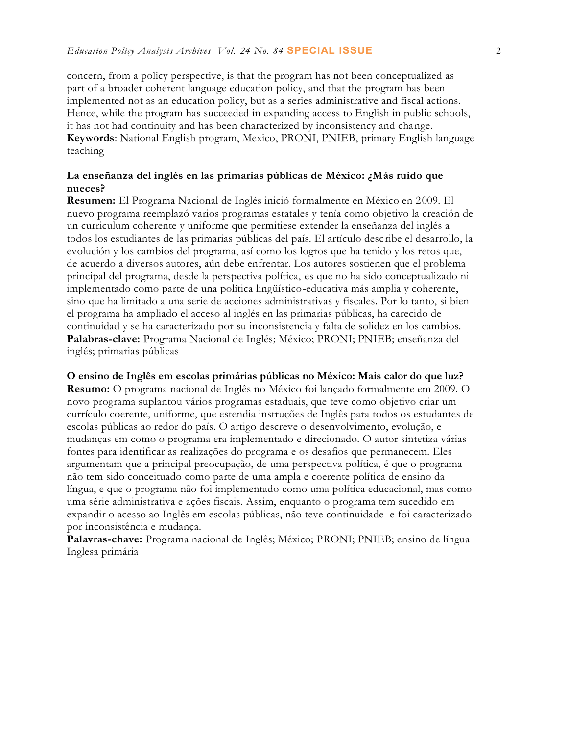concern, from a policy perspective, is that the program has not been conceptualized as part of a broader coherent language education policy, and that the program has been implemented not as an education policy, but as a series administrative and fiscal actions. Hence, while the program has succeeded in expanding access to English in public schools, it has not had continuity and has been characterized by inconsistency and change. **Keywords**: National English program, Mexico, PRONI, PNIEB, primary English language teaching

## **La enseñanza del inglés en las primarias públicas de México: ¿Más ruido que nueces?**

**Resumen:** El Programa Nacional de Inglés inició formalmente en México en 2009. El nuevo programa reemplazó varios programas estatales y tenía como objetivo la creación de un curriculum coherente y uniforme que permitiese extender la enseñanza del inglés a todos los estudiantes de las primarias públicas del país. El artículo describe el desarrollo, la evolución y los cambios del programa, así como los logros que ha tenido y los retos que, de acuerdo a diversos autores, aún debe enfrentar. Los autores sostienen que el problema principal del programa, desde la perspectiva política, es que no ha sido conceptualizado ni implementado como parte de una política lingüístico-educativa más amplia y coherente, sino que ha limitado a una serie de acciones administrativas y fiscales. Por lo tanto, si bien el programa ha ampliado el acceso al inglés en las primarias públicas, ha carecido de continuidad y se ha caracterizado por su inconsistencia y falta de solidez en los cambios. **Palabras-clave:** Programa Nacional de Inglés; México; PRONI; PNIEB; enseñanza del inglés; primarias públicas

#### **O ensino de Inglês em escolas primárias públicas no México: Mais calor do que luz?**

**Resumo:** O programa nacional de Inglês no México foi lançado formalmente em 2009. O novo programa suplantou vários programas estaduais, que teve como objetivo criar um currículo coerente, uniforme, que estendia instruções de Inglês para todos os estudantes de escolas públicas ao redor do país. O artigo descreve o desenvolvimento, evolução, e mudanças em como o programa era implementado e direcionado. O autor sintetiza várias fontes para identificar as realizações do programa e os desafios que permanecem. Eles argumentam que a principal preocupação, de uma perspectiva política, é que o programa não tem sido conceituado como parte de uma ampla e coerente política de ensino da língua, e que o programa não foi implementado como uma política educacional, mas como uma série administrativa e ações fiscais. Assim, enquanto o programa tem sucedido em expandir o acesso ao Inglês em escolas públicas, não teve continuidade e foi caracterizado por inconsistência e mudança.

**Palavras-chave:** Programa nacional de Inglês; México; PRONI; PNIEB; ensino de língua Inglesa primária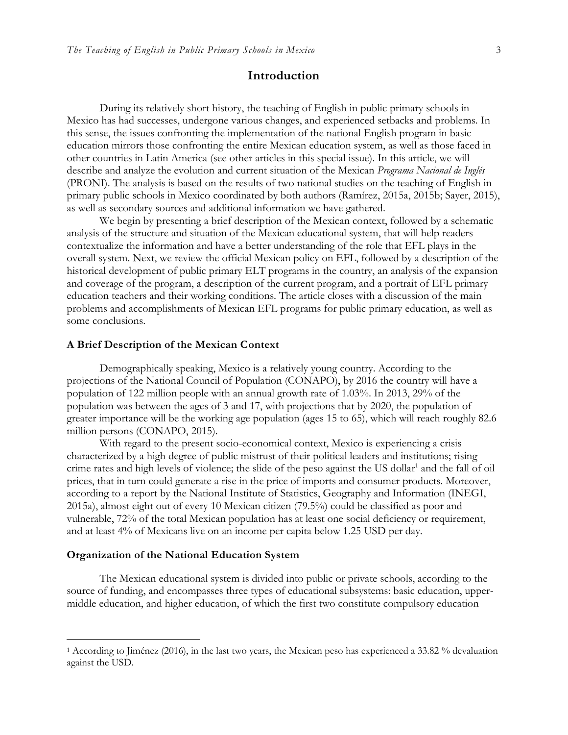#### **Introduction**

During its relatively short history, the teaching of English in public primary schools in Mexico has had successes, undergone various changes, and experienced setbacks and problems. In this sense, the issues confronting the implementation of the national English program in basic education mirrors those confronting the entire Mexican education system, as well as those faced in other countries in Latin America (see other articles in this special issue). In this article, we will describe and analyze the evolution and current situation of the Mexican *Programa Nacional de Inglés*  (PRONI). The analysis is based on the results of two national studies on the teaching of English in primary public schools in Mexico coordinated by both authors (Ramírez, 2015a, 2015b; Sayer, 2015), as well as secondary sources and additional information we have gathered.

We begin by presenting a brief description of the Mexican context, followed by a schematic analysis of the structure and situation of the Mexican educational system, that will help readers contextualize the information and have a better understanding of the role that EFL plays in the overall system. Next, we review the official Mexican policy on EFL, followed by a description of the historical development of public primary ELT programs in the country, an analysis of the expansion and coverage of the program, a description of the current program, and a portrait of EFL primary education teachers and their working conditions. The article closes with a discussion of the main problems and accomplishments of Mexican EFL programs for public primary education, as well as some conclusions.

#### **A Brief Description of the Mexican Context**

Demographically speaking, Mexico is a relatively young country. According to the projections of the National Council of Population (CONAPO), by 2016 the country will have a population of 122 million people with an annual growth rate of 1.03%. In 2013, 29% of the population was between the ages of 3 and 17, with projections that by 2020, the population of greater importance will be the working age population (ages 15 to 65), which will reach roughly 82.6 million persons (CONAPO, 2015).

With regard to the present socio-economical context, Mexico is experiencing a crisis characterized by a high degree of public mistrust of their political leaders and institutions; rising crime rates and high levels of violence; the slide of the peso against the US dollar<sup>1</sup> and the fall of oil prices, that in turn could generate a rise in the price of imports and consumer products. Moreover, according to a report by the National Institute of Statistics, Geography and Information (INEGI, 2015a), almost eight out of every 10 Mexican citizen (79.5%) could be classified as poor and vulnerable, 72% of the total Mexican population has at least one social deficiency or requirement, and at least 4% of Mexicans live on an income per capita below 1.25 USD per day.

#### **Organization of the National Education System**

 $\overline{a}$ 

The Mexican educational system is divided into public or private schools, according to the source of funding, and encompasses three types of educational subsystems: basic education, uppermiddle education, and higher education, of which the first two constitute compulsory education

<sup>&</sup>lt;sup>1</sup> According to Jiménez (2016), in the last two years, the Mexican peso has experienced a 33.82 % devaluation against the USD.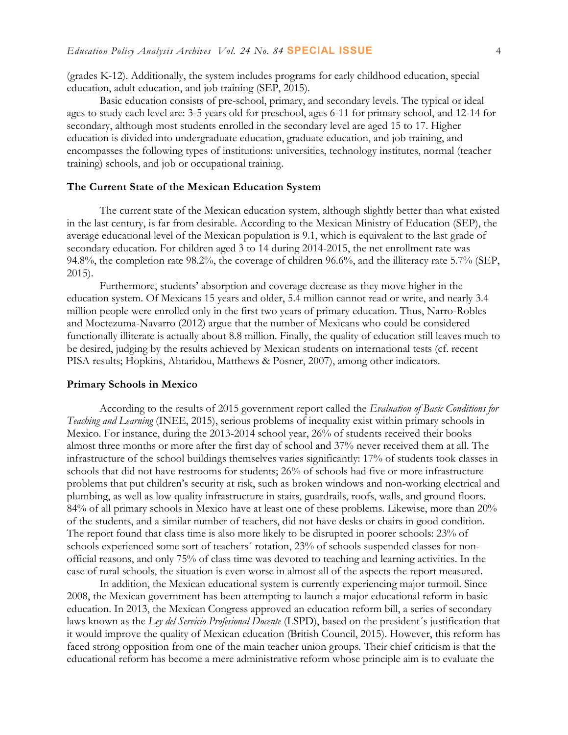(grades K-12). Additionally, the system includes programs for early childhood education, special education, adult education, and job training (SEP, 2015).

Basic education consists of pre-school, primary, and secondary levels. The typical or ideal ages to study each level are: 3-5 years old for preschool, ages 6-11 for primary school, and 12-14 for secondary, although most students enrolled in the secondary level are aged 15 to 17. Higher education is divided into undergraduate education, graduate education, and job training, and encompasses the following types of institutions: universities, technology institutes, normal (teacher training) schools, and job or occupational training.

#### **The Current State of the Mexican Education System**

The current state of the Mexican education system, although slightly better than what existed in the last century, is far from desirable. According to the Mexican Ministry of Education (SEP), the average educational level of the Mexican population is 9.1, which is equivalent to the last grade of secondary education. For children aged 3 to 14 during 2014-2015, the net enrollment rate was 94.8%, the completion rate 98.2%, the coverage of children 96.6%, and the illiteracy rate 5.7% (SEP, 2015).

Furthermore, students' absorption and coverage decrease as they move higher in the education system. Of Mexicans 15 years and older, 5.4 million cannot read or write, and nearly 3.4 million people were enrolled only in the first two years of primary education. Thus, Narro-Robles and Moctezuma-Navarro (2012) argue that the number of Mexicans who could be considered functionally illiterate is actually about 8.8 million. Finally, the quality of education still leaves much to be desired, judging by the results achieved by Mexican students on international tests (cf. recent PISA results; Hopkins, Ahtaridou, Matthews & Posner, 2007), among other indicators.

#### **Primary Schools in Mexico**

According to the results of 2015 government report called the *Evaluation of Basic Conditions for Teaching and Learning* (INEE, 2015), serious problems of inequality exist within primary schools in Mexico. For instance, during the 2013-2014 school year, 26% of students received their books almost three months or more after the first day of school and 37% never received them at all. The infrastructure of the school buildings themselves varies significantly: 17% of students took classes in schools that did not have restrooms for students; 26% of schools had five or more infrastructure problems that put children's security at risk, such as broken windows and non-working electrical and plumbing, as well as low quality infrastructure in stairs, guardrails, roofs, walls, and ground floors. 84% of all primary schools in Mexico have at least one of these problems. Likewise, more than 20% of the students, and a similar number of teachers, did not have desks or chairs in good condition. The report found that class time is also more likely to be disrupted in poorer schools: 23% of schools experienced some sort of teachers´ rotation, 23% of schools suspended classes for nonofficial reasons, and only 75% of class time was devoted to teaching and learning activities. In the case of rural schools, the situation is even worse in almost all of the aspects the report measured.

In addition, the Mexican educational system is currently experiencing major turmoil. Since 2008, the Mexican government has been attempting to launch a major educational reform in basic education. In 2013, the Mexican Congress approved an education reform bill, a series of secondary laws known as the *Ley del Servicio Profesional Docente* (LSPD), based on the president´s justification that it would improve the quality of Mexican education (British Council, 2015). However, this reform has faced strong opposition from one of the main teacher union groups. Their chief criticism is that the educational reform has become a mere administrative reform whose principle aim is to evaluate the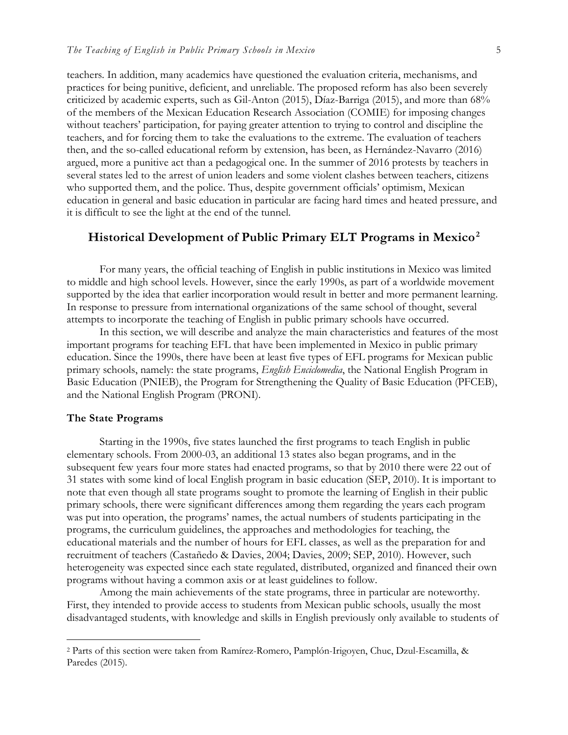teachers. In addition, many academics have questioned the evaluation criteria, mechanisms, and practices for being punitive, deficient, and unreliable. The proposed reform has also been severely criticized by academic experts, such as Gil-Anton (2015), Díaz-Barriga (2015), and more than 68% of the members of the Mexican Education Research Association (COMIE) for imposing changes without teachers' participation, for paying greater attention to trying to control and discipline the teachers, and for forcing them to take the evaluations to the extreme. The evaluation of teachers then, and the so-called educational reform by extension, has been, as Hernández-Navarro (2016) argued, more a punitive act than a pedagogical one. In the summer of 2016 protests by teachers in several states led to the arrest of union leaders and some violent clashes between teachers, citizens who supported them, and the police. Thus, despite government officials' optimism, Mexican education in general and basic education in particular are facing hard times and heated pressure, and it is difficult to see the light at the end of the tunnel.

## **Historical Development of Public Primary ELT Programs in Mexico<sup>2</sup>**

For many years, the official teaching of English in public institutions in Mexico was limited to middle and high school levels. However, since the early 1990s, as part of a worldwide movement supported by the idea that earlier incorporation would result in better and more permanent learning. In response to pressure from international organizations of the same school of thought, several attempts to incorporate the teaching of English in public primary schools have occurred.

In this section, we will describe and analyze the main characteristics and features of the most important programs for teaching EFL that have been implemented in Mexico in public primary education. Since the 1990s, there have been at least five types of EFL programs for Mexican public primary schools, namely: the state programs, *English Enciclomedia*, the National English Program in Basic Education (PNIEB), the Program for Strengthening the Quality of Basic Education (PFCEB), and the National English Program (PRONI).

#### **The State Programs**

 $\overline{a}$ 

Starting in the 1990s, five states launched the first programs to teach English in public elementary schools. From 2000-03, an additional 13 states also began programs, and in the subsequent few years four more states had enacted programs, so that by 2010 there were 22 out of 31 states with some kind of local English program in basic education (SEP, 2010). It is important to note that even though all state programs sought to promote the learning of English in their public primary schools, there were significant differences among them regarding the years each program was put into operation, the programs' names, the actual numbers of students participating in the programs, the curriculum guidelines, the approaches and methodologies for teaching, the educational materials and the number of hours for EFL classes, as well as the preparation for and recruitment of teachers (Castañedo & Davies, 2004; Davies, 2009; SEP, 2010). However, such heterogeneity was expected since each state regulated, distributed, organized and financed their own programs without having a common axis or at least guidelines to follow.

Among the main achievements of the state programs, three in particular are noteworthy. First, they intended to provide access to students from Mexican public schools, usually the most disadvantaged students, with knowledge and skills in English previously only available to students of

<sup>2</sup> Parts of this section were taken from Ramírez-Romero, Pamplón-Irigoyen, Chuc, Dzul-Escamilla, & Paredes (2015).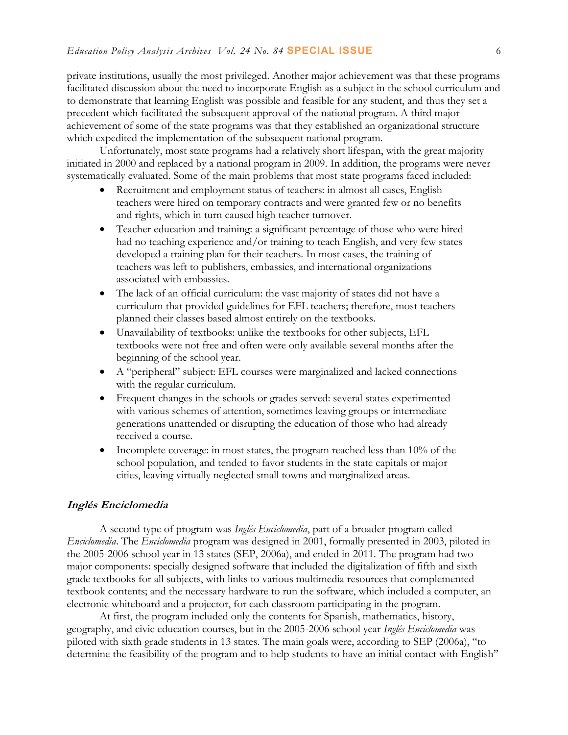private institutions, usually the most privileged. Another major achievement was that these programs facilitated discussion about the need to incorporate English as a subject in the school curriculum and to demonstrate that learning English was possible and feasible for any student, and thus they set a precedent which facilitated the subsequent approval of the national program. A third major achievement of some of the state programs was that they established an organizational structure which expedited the implementation of the subsequent national program.

Unfortunately, most state programs had a relatively short lifespan, with the great majority initiated in 2000 and replaced by a national program in 2009. In addition, the programs were never systematically evaluated. Some of the main problems that most state programs faced included:

- Recruitment and employment status of teachers: in almost all cases, English teachers were hired on temporary contracts and were granted few or no benefits and rights, which in turn caused high teacher turnover.
- Teacher education and training: a significant percentage of those who were hired had no teaching experience and/or training to teach English, and very few states developed a training plan for their teachers. In most cases, the training of teachers was left to publishers, embassies, and international organizations associated with embassies.
- The lack of an official curriculum: the vast majority of states did not have a curriculum that provided guidelines for EFL teachers; therefore, most teachers planned their classes based almost entirely on the textbooks.
- Unavailability of textbooks: unlike the textbooks for other subjects, EFL textbooks were not free and often were only available several months after the beginning of the school year.
- A "peripheral" subject: EFL courses were marginalized and lacked connections with the regular curriculum.
- Frequent changes in the schools or grades served: several states experimented with various schemes of attention, sometimes leaving groups or intermediate generations unattended or disrupting the education of those who had already received a course.
- Incomplete coverage: in most states, the program reached less than  $10\%$  of the school population, and tended to favor students in the state capitals or major cities, leaving virtually neglected small towns and marginalized areas.

#### **Inglés Enciclomedia**

A second type of program was *Inglés Enciclomedia*, part of a broader program called *Enciclomedia*. The *Enciclomedia* program was designed in 2001, formally presented in 2003, piloted in the 2005-2006 school year in 13 states (SEP, 2006a), and ended in 2011. The program had two major components: specially designed software that included the digitalization of fifth and sixth grade textbooks for all subjects, with links to various multimedia resources that complemented textbook contents; and the necessary hardware to run the software, which included a computer, an electronic whiteboard and a projector, for each classroom participating in the program.

At first, the program included only the contents for Spanish, mathematics, history, geography, and civic education courses, but in the 2005-2006 school year *Inglés Enciclomedia* was piloted with sixth grade students in 13 states. The main goals were, according to SEP (2006a), "to determine the feasibility of the program and to help students to have an initial contact with English"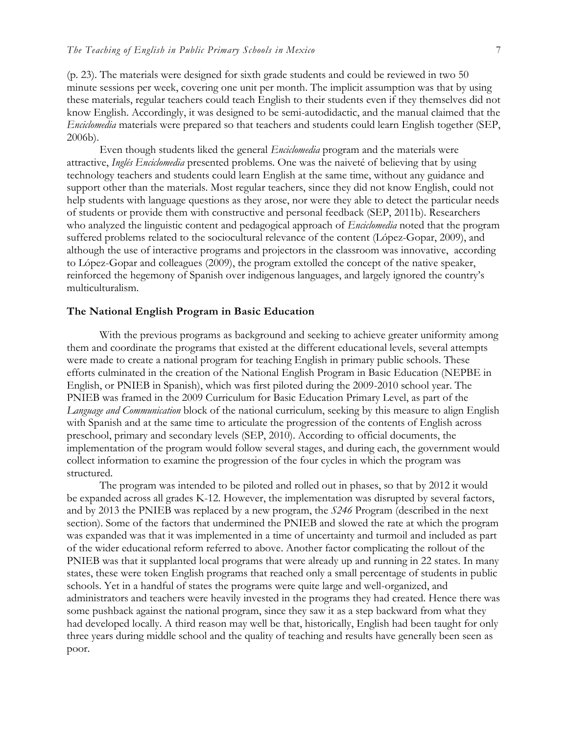(p. 23). The materials were designed for sixth grade students and could be reviewed in two 50 minute sessions per week, covering one unit per month. The implicit assumption was that by using these materials, regular teachers could teach English to their students even if they themselves did not know English. Accordingly, it was designed to be semi-autodidactic, and the manual claimed that the *Enciclomedia* materials were prepared so that teachers and students could learn English together (SEP, 2006b).

Even though students liked the general *Enciclomedia* program and the materials were attractive, *Inglés Enciclomedia* presented problems. One was the naiveté of believing that by using technology teachers and students could learn English at the same time, without any guidance and support other than the materials. Most regular teachers, since they did not know English, could not help students with language questions as they arose, nor were they able to detect the particular needs of students or provide them with constructive and personal feedback (SEP, 2011b). Researchers who analyzed the linguistic content and pedagogical approach of *Enciclomedia* noted that the program suffered problems related to the sociocultural relevance of the content (López-Gopar, 2009), and although the use of interactive programs and projectors in the classroom was innovative, according to López-Gopar and colleagues (2009), the program extolled the concept of the native speaker, reinforced the hegemony of Spanish over indigenous languages, and largely ignored the country's multiculturalism.

#### **The National English Program in Basic Education**

With the previous programs as background and seeking to achieve greater uniformity among them and coordinate the programs that existed at the different educational levels, several attempts were made to create a national program for teaching English in primary public schools. These efforts culminated in the creation of the National English Program in Basic Education (NEPBE in English, or PNIEB in Spanish), which was first piloted during the 2009-2010 school year. The PNIEB was framed in the 2009 Curriculum for Basic Education Primary Level, as part of the *Language and Communication* block of the national curriculum, seeking by this measure to align English with Spanish and at the same time to articulate the progression of the contents of English across preschool, primary and secondary levels (SEP, 2010). According to official documents, the implementation of the program would follow several stages, and during each, the government would collect information to examine the progression of the four cycles in which the program was structured.

The program was intended to be piloted and rolled out in phases, so that by 2012 it would be expanded across all grades K-12. However, the implementation was disrupted by several factors, and by 2013 the PNIEB was replaced by a new program, the *S246* Program (described in the next section). Some of the factors that undermined the PNIEB and slowed the rate at which the program was expanded was that it was implemented in a time of uncertainty and turmoil and included as part of the wider educational reform referred to above. Another factor complicating the rollout of the PNIEB was that it supplanted local programs that were already up and running in 22 states. In many states, these were token English programs that reached only a small percentage of students in public schools. Yet in a handful of states the programs were quite large and well-organized, and administrators and teachers were heavily invested in the programs they had created. Hence there was some pushback against the national program, since they saw it as a step backward from what they had developed locally. A third reason may well be that, historically, English had been taught for only three years during middle school and the quality of teaching and results have generally been seen as poor.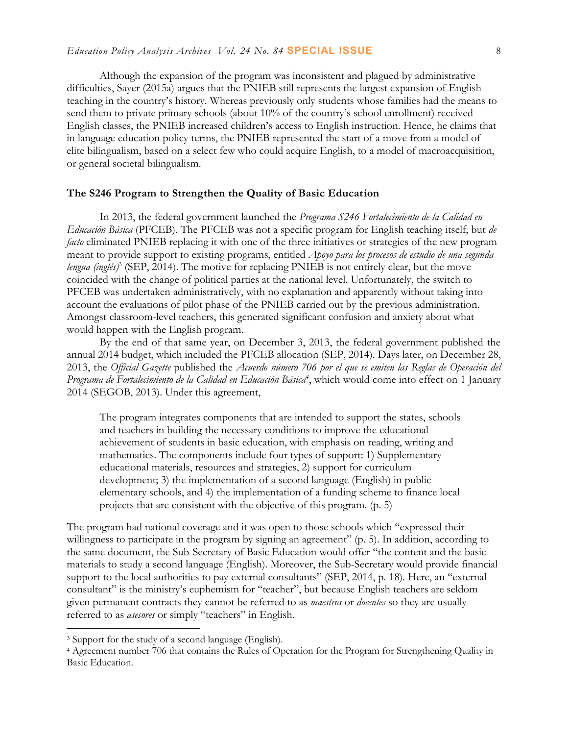Although the expansion of the program was inconsistent and plagued by administrative difficulties, Sayer (2015a) argues that the PNIEB still represents the largest expansion of English teaching in the country's history. Whereas previously only students whose families had the means to send them to private primary schools (about 10% of the country's school enrollment) received English classes, the PNIEB increased children's access to English instruction. Hence, he claims that in language education policy terms, the PNIEB represented the start of a move from a model of elite bilingualism, based on a select few who could acquire English, to a model of macroacquisition, or general societal bilingualism.

#### **The S246 Program to Strengthen the Quality of Basic Education**

In 2013, the federal government launched the *Programa S246 Fortalecimiento de la Calidad en Educación Básica* (PFCEB). The PFCEB was not a specific program for English teaching itself, but *de facto* eliminated PNIEB replacing it with one of the three initiatives or strategies of the new program meant to provide support to existing programs, entitled *Apoyo para los procesos de estudio de una segunda*  lengua (inglés)<sup>3</sup> (SEP, 2014). The motive for replacing PNIEB is not entirely clear, but the move coincided with the change of political parties at the national level. Unfortunately, the switch to PFCEB was undertaken administratively, with no explanation and apparently without taking into account the evaluations of pilot phase of the PNIEB carried out by the previous administration. Amongst classroom-level teachers, this generated significant confusion and anxiety about what would happen with the English program.

By the end of that same year, on December 3, 2013, the federal government published the annual 2014 budget, which included the PFCEB allocation (SEP, 2014). Days later, on December 28, 2013, the *Official Gazette* published the *Acuerdo número 706 por el que se emiten las Reglas de Operación del Programa de Fortalecimiento de la Calidad en Educación Básica<sup>4</sup>* , which would come into effect on 1 January 2014 (SEGOB, 2013). Under this agreement,

The program integrates components that are intended to support the states, schools and teachers in building the necessary conditions to improve the educational achievement of students in basic education, with emphasis on reading, writing and mathematics. The components include four types of support: 1) Supplementary educational materials, resources and strategies, 2) support for curriculum development; 3) the implementation of a second language (English) in public elementary schools, and 4) the implementation of a funding scheme to finance local projects that are consistent with the objective of this program. (p. 5)

The program had national coverage and it was open to those schools which "expressed their willingness to participate in the program by signing an agreement" (p. 5). In addition, according to the same document, the Sub-Secretary of Basic Education would offer "the content and the basic materials to study a second language (English). Moreover, the Sub-Secretary would provide financial support to the local authorities to pay external consultants" (SEP, 2014, p. 18). Here, an "external consultant" is the ministry's euphemism for "teacher", but because English teachers are seldom given permanent contracts they cannot be referred to as *maestros* or *docentes* so they are usually referred to as *asesores* or simply "teachers" in English.

 $\overline{a}$ 

<sup>3</sup> Support for the study of a second language (English).

<sup>4</sup> Agreement number 706 that contains the Rules of Operation for the Program for Strengthening Quality in Basic Education.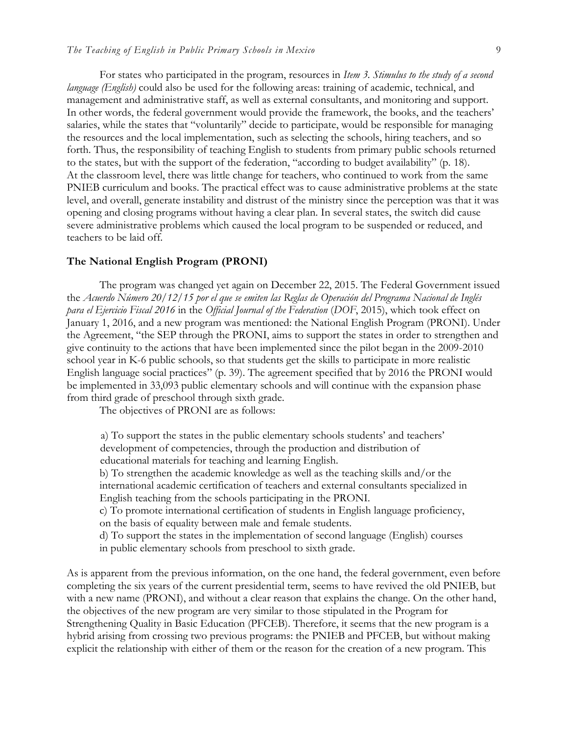For states who participated in the program, resources in *Item 3. Stimulus to the study of a second language (English)* could also be used for the following areas: training of academic, technical, and management and administrative staff, as well as external consultants, and monitoring and support. In other words, the federal government would provide the framework, the books, and the teachers' salaries, while the states that "voluntarily" decide to participate, would be responsible for managing the resources and the local implementation, such as selecting the schools, hiring teachers, and so forth. Thus, the responsibility of teaching English to students from primary public schools returned to the states, but with the support of the federation, "according to budget availability" (p. 18). At the classroom level, there was little change for teachers, who continued to work from the same PNIEB curriculum and books. The practical effect was to cause administrative problems at the state level, and overall, generate instability and distrust of the ministry since the perception was that it was opening and closing programs without having a clear plan. In several states, the switch did cause severe administrative problems which caused the local program to be suspended or reduced, and teachers to be laid off.

#### **The National English Program (PRONI)**

The program was changed yet again on December 22, 2015. The Federal Government issued the *Acuerdo Número 20/12/15 por el que se emiten las Reglas de Operación del Programa Nacional de Inglés para el Ejercicio Fiscal 2016* in the *Official Journal of the Federation* (*DOF*, 2015), which took effect on January 1, 2016, and a new program was mentioned: the National English Program (PRONI). Under the Agreement, "the SEP through the PRONI, aims to support the states in order to strengthen and give continuity to the actions that have been implemented since the pilot began in the 2009-2010 school year in K-6 public schools, so that students get the skills to participate in more realistic English language social practices" (p. 39). The agreement specified that by 2016 the PRONI would be implemented in 33,093 public elementary schools and will continue with the expansion phase from third grade of preschool through sixth grade.

The objectives of PRONI are as follows:

a) To support the states in the public elementary schools students' and teachers' development of competencies, through the production and distribution of educational materials for teaching and learning English.

b) To strengthen the academic knowledge as well as the teaching skills and/or the international academic certification of teachers and external consultants specialized in English teaching from the schools participating in the PRONI.

c) To promote international certification of students in English language proficiency, on the basis of equality between male and female students.

d) To support the states in the implementation of second language (English) courses in public elementary schools from preschool to sixth grade.

As is apparent from the previous information, on the one hand, the federal government, even before completing the six years of the current presidential term, seems to have revived the old PNIEB, but with a new name (PRONI), and without a clear reason that explains the change. On the other hand, the objectives of the new program are very similar to those stipulated in the Program for Strengthening Quality in Basic Education (PFCEB). Therefore, it seems that the new program is a hybrid arising from crossing two previous programs: the PNIEB and PFCEB, but without making explicit the relationship with either of them or the reason for the creation of a new program. This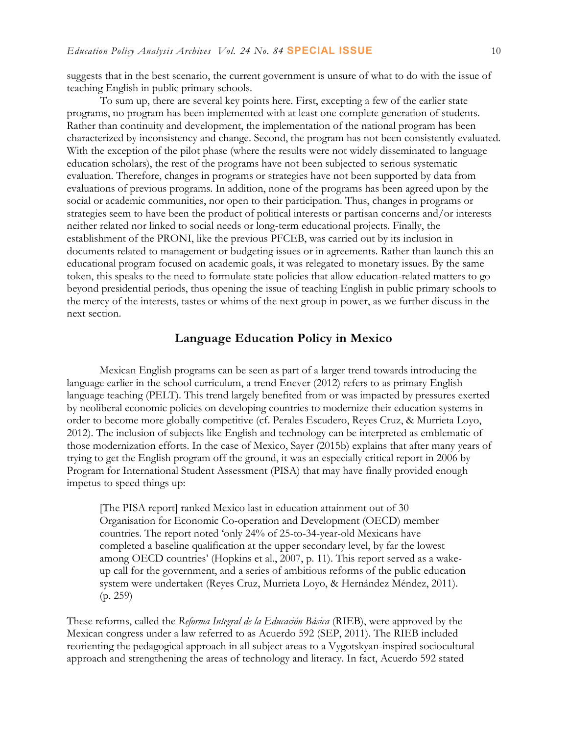suggests that in the best scenario, the current government is unsure of what to do with the issue of teaching English in public primary schools.

To sum up, there are several key points here. First, excepting a few of the earlier state programs, no program has been implemented with at least one complete generation of students. Rather than continuity and development, the implementation of the national program has been characterized by inconsistency and change. Second, the program has not been consistently evaluated. With the exception of the pilot phase (where the results were not widely disseminated to language education scholars), the rest of the programs have not been subjected to serious systematic evaluation. Therefore, changes in programs or strategies have not been supported by data from evaluations of previous programs. In addition, none of the programs has been agreed upon by the social or academic communities, nor open to their participation. Thus, changes in programs or strategies seem to have been the product of political interests or partisan concerns and/or interests neither related nor linked to social needs or long-term educational projects. Finally, the establishment of the PRONI, like the previous PFCEB, was carried out by its inclusion in documents related to management or budgeting issues or in agreements. Rather than launch this an educational program focused on academic goals, it was relegated to monetary issues. By the same token, this speaks to the need to formulate state policies that allow education-related matters to go beyond presidential periods, thus opening the issue of teaching English in public primary schools to the mercy of the interests, tastes or whims of the next group in power, as we further discuss in the next section.

## **Language Education Policy in Mexico**

Mexican English programs can be seen as part of a larger trend towards introducing the language earlier in the school curriculum, a trend Enever (2012) refers to as primary English language teaching (PELT). This trend largely benefited from or was impacted by pressures exerted by neoliberal economic policies on developing countries to modernize their education systems in order to become more globally competitive (cf. Perales Escudero, Reyes Cruz, & Murrieta Loyo, 2012). The inclusion of subjects like English and technology can be interpreted as emblematic of those modernization efforts. In the case of Mexico, Sayer (2015b) explains that after many years of trying to get the English program off the ground, it was an especially critical report in 2006 by Program for International Student Assessment (PISA) that may have finally provided enough impetus to speed things up:

[The PISA report] ranked Mexico last in education attainment out of 30 Organisation for Economic Co-operation and Development (OECD) member countries. The report noted 'only 24% of 25-to-34-year-old Mexicans have completed a baseline qualification at the upper secondary level, by far the lowest among OECD countries' (Hopkins et al., 2007, p. 11). This report served as a wakeup call for the government, and a series of ambitious reforms of the public education system were undertaken (Reyes Cruz, Murrieta Loyo, & Hernández Méndez, 2011). (p. 259)

These reforms, called the *Reforma Integral de la Educación Básica* (RIEB), were approved by the Mexican congress under a law referred to as Acuerdo 592 (SEP, 2011). The RIEB included reorienting the pedagogical approach in all subject areas to a Vygotskyan-inspired sociocultural approach and strengthening the areas of technology and literacy. In fact, Acuerdo 592 stated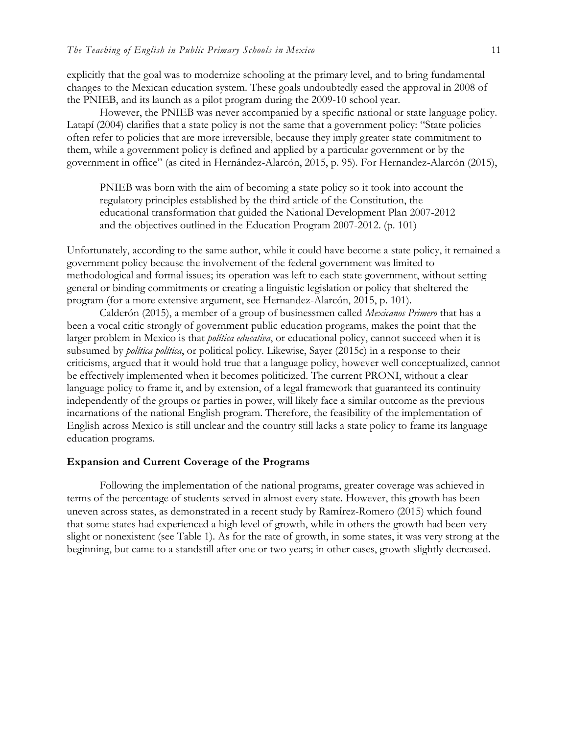explicitly that the goal was to modernize schooling at the primary level, and to bring fundamental changes to the Mexican education system. These goals undoubtedly eased the approval in 2008 of the PNIEB, and its launch as a pilot program during the 2009-10 school year.

However, the PNIEB was never accompanied by a specific national or state language policy. Latapí (2004) clarifies that a state policy is not the same that a government policy: "State policies often refer to policies that are more irreversible, because they imply greater state commitment to them, while a government policy is defined and applied by a particular government or by the government in office" (as cited in Hernández-Alarcón, 2015, p. 95). For Hernandez-Alarcón (2015),

PNIEB was born with the aim of becoming a state policy so it took into account the regulatory principles established by the third article of the Constitution, the educational transformation that guided the National Development Plan 2007-2012 and the objectives outlined in the Education Program 2007-2012. (p. 101)

Unfortunately, according to the same author, while it could have become a state policy, it remained a government policy because the involvement of the federal government was limited to methodological and formal issues; its operation was left to each state government, without setting general or binding commitments or creating a linguistic legislation or policy that sheltered the program (for a more extensive argument, see Hernandez-Alarcón, 2015, p. 101).

Calderón (2015), a member of a group of businessmen called *Mexicanos Primero* that has a been a vocal critic strongly of government public education programs, makes the point that the larger problem in Mexico is that *política educativa*, or educational policy, cannot succeed when it is subsumed by *política política*, or political policy. Likewise, Sayer (2015c) in a response to their criticisms, argued that it would hold true that a language policy, however well conceptualized, cannot be effectively implemented when it becomes politicized. The current PRONI, without a clear language policy to frame it, and by extension, of a legal framework that guaranteed its continuity independently of the groups or parties in power, will likely face a similar outcome as the previous incarnations of the national English program. Therefore, the feasibility of the implementation of English across Mexico is still unclear and the country still lacks a state policy to frame its language education programs.

#### **Expansion and Current Coverage of the Programs**

Following the implementation of the national programs, greater coverage was achieved in terms of the percentage of students served in almost every state. However, this growth has been uneven across states, as demonstrated in a recent study by Ramírez-Romero (2015) which found that some states had experienced a high level of growth, while in others the growth had been very slight or nonexistent (see Table 1). As for the rate of growth, in some states, it was very strong at the beginning, but came to a standstill after one or two years; in other cases, growth slightly decreased.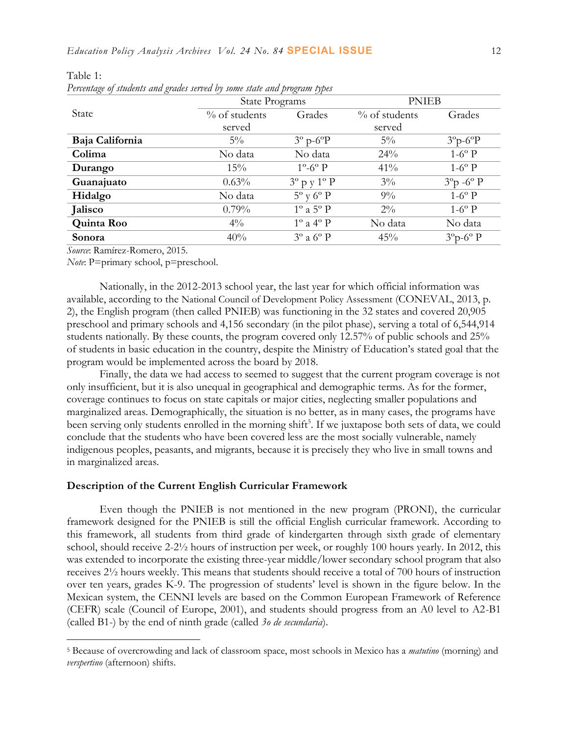| $\curvearrowright$ $\curvearrowright$<br>$\bigcirc$ | $\bigcirc$<br>$\prime\prime$<br><b>State Programs</b> |                               | <b>PNIEB</b>     |                           |
|-----------------------------------------------------|-------------------------------------------------------|-------------------------------|------------------|---------------------------|
| State                                               | $\%$ of students                                      | Grades                        | $\%$ of students | Grades                    |
|                                                     | served                                                |                               | served           |                           |
| Baja California                                     | $5\%$                                                 | $3^\circ$ p- $6^\circ$ P      | $5\%$            | $3^{\circ}p - 6^{\circ}p$ |
| Colima                                              | No data                                               | No data                       | 24%              | $1-6^\circ P$             |
| Durango                                             | 15%                                                   | $1^\circ$ -6 $^\circ$ P       | 41%              | $1-6^\circ P$             |
| Guanajuato                                          | 0.63%                                                 | $3^{\circ}$ p y $1^{\circ}$ P | $3\%$            | $3^{\circ}p - 6^{\circ}p$ |
| Hidalgo                                             | No data                                               | $5^{\circ}$ y $6^{\circ}$ P   | $9\%$            | $1-6^\circ P$             |
| Jalisco                                             | $0.79\%$                                              | $1^\circ$ a $5^\circ$ P       | $2\%$            | $1-6^\circ P$             |
| Quinta Roo                                          | $4\%$                                                 | $1^\circ$ a $4^\circ$ P       | No data          | No data                   |
| Sonora                                              | 40%                                                   | $3^\circ$ a $6^\circ$ P       | 45%              | $3^{\circ}p - 6^{\circ}p$ |

Table 1:

 $\overline{a}$ 

*Percentage of students and grades served by some state and program types*

*Source*: Ramírez-Romero, 2015.

*Note*: P=primary school, p=preschool.

Nationally, in the 2012-2013 school year, the last year for which official information was available, according to the National Council of Development Policy Assessment (CONEVAL, 2013, p. 2), the English program (then called PNIEB) was functioning in the 32 states and covered 20,905 preschool and primary schools and 4,156 secondary (in the pilot phase), serving a total of 6,544,914 students nationally. By these counts, the program covered only 12.57% of public schools and 25% of students in basic education in the country, despite the Ministry of Education's stated goal that the program would be implemented across the board by 2018.

Finally, the data we had access to seemed to suggest that the current program coverage is not only insufficient, but it is also unequal in geographical and demographic terms. As for the former, coverage continues to focus on state capitals or major cities, neglecting smaller populations and marginalized areas. Demographically, the situation is no better, as in many cases, the programs have been serving only students enrolled in the morning shift<sup>5</sup>. If we juxtapose both sets of data, we could conclude that the students who have been covered less are the most socially vulnerable, namely indigenous peoples, peasants, and migrants, because it is precisely they who live in small towns and in marginalized areas.

#### **Description of the Current English Curricular Framework**

Even though the PNIEB is not mentioned in the new program (PRONI), the curricular framework designed for the PNIEB is still the official English curricular framework. According to this framework, all students from third grade of kindergarten through sixth grade of elementary school, should receive 2-2½ hours of instruction per week, or roughly 100 hours yearly. In 2012, this was extended to incorporate the existing three-year middle/lower secondary school program that also receives 2½ hours weekly. This means that students should receive a total of 700 hours of instruction over ten years, grades K-9. The progression of students' level is shown in the figure below. In the Mexican system, the CENNI levels are based on the Common European Framework of Reference (CEFR) scale (Council of Europe, 2001), and students should progress from an A0 level to A2-B1 (called B1-) by the end of ninth grade (called *3o de secundaria*).

<sup>5</sup> Because of overcrowding and lack of classroom space, most schools in Mexico has a *matutino* (morning) and *verspertino* (afternoon) shifts.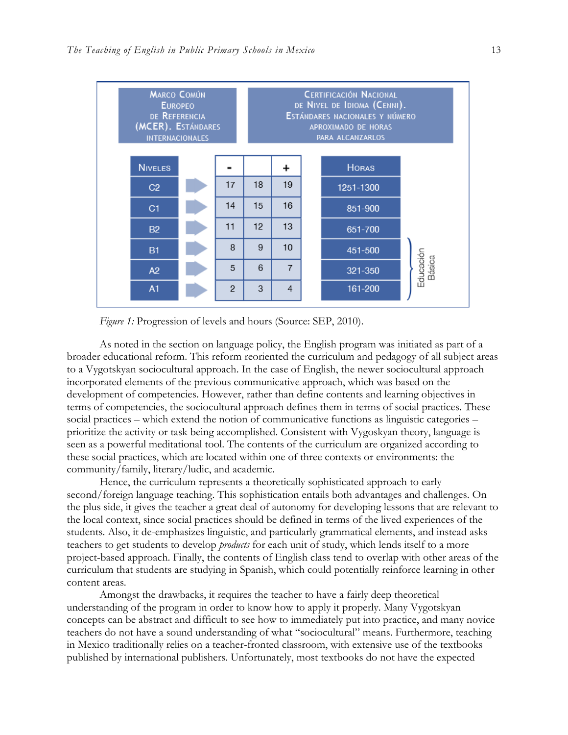

*Figure 1:* Progression of levels and hours (Source: SEP, 2010).

As noted in the section on language policy, the English program was initiated as part of a broader educational reform. This reform reoriented the curriculum and pedagogy of all subject areas to a Vygotskyan sociocultural approach. In the case of English, the newer sociocultural approach incorporated elements of the previous communicative approach, which was based on the development of competencies. However, rather than define contents and learning objectives in terms of competencies, the sociocultural approach defines them in terms of social practices. These social practices – which extend the notion of communicative functions as linguistic categories – prioritize the activity or task being accomplished. Consistent with Vygoskyan theory, language is seen as a powerful meditational tool. The contents of the curriculum are organized according to these social practices, which are located within one of three contexts or environments: the community/family, literary/ludic, and academic.

Hence, the curriculum represents a theoretically sophisticated approach to early second/foreign language teaching. This sophistication entails both advantages and challenges. On the plus side, it gives the teacher a great deal of autonomy for developing lessons that are relevant to the local context, since social practices should be defined in terms of the lived experiences of the students. Also, it de-emphasizes linguistic, and particularly grammatical elements, and instead asks teachers to get students to develop *products* for each unit of study, which lends itself to a more project-based approach. Finally, the contents of English class tend to overlap with other areas of the curriculum that students are studying in Spanish, which could potentially reinforce learning in other content areas.

Amongst the drawbacks, it requires the teacher to have a fairly deep theoretical understanding of the program in order to know how to apply it properly. Many Vygotskyan concepts can be abstract and difficult to see how to immediately put into practice, and many novice teachers do not have a sound understanding of what "sociocultural" means. Furthermore, teaching in Mexico traditionally relies on a teacher-fronted classroom, with extensive use of the textbooks published by international publishers. Unfortunately, most textbooks do not have the expected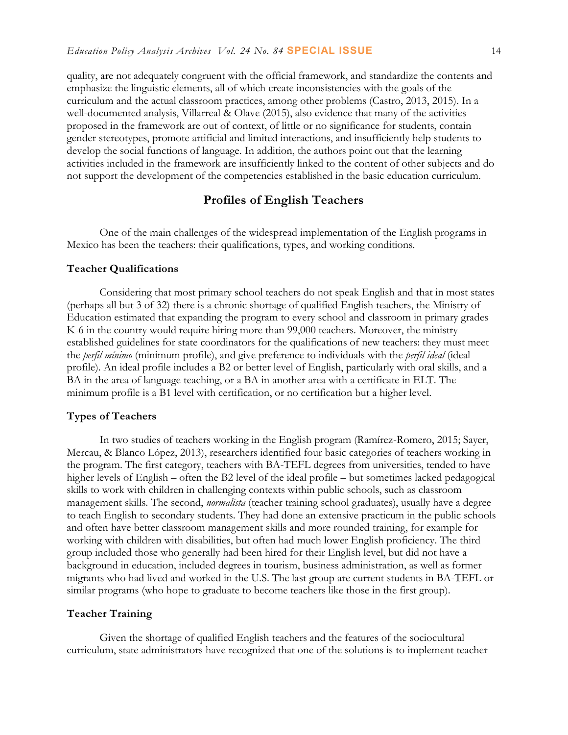quality, are not adequately congruent with the official framework, and standardize the contents and emphasize the linguistic elements, all of which create inconsistencies with the goals of the curriculum and the actual classroom practices, among other problems (Castro, 2013, 2015). In a well-documented analysis, Villarreal & Olave (2015), also evidence that many of the activities proposed in the framework are out of context, of little or no significance for students, contain gender stereotypes, promote artificial and limited interactions, and insufficiently help students to develop the social functions of language. In addition, the authors point out that the learning activities included in the framework are insufficiently linked to the content of other subjects and do not support the development of the competencies established in the basic education curriculum.

## **Profiles of English Teachers**

One of the main challenges of the widespread implementation of the English programs in Mexico has been the teachers: their qualifications, types, and working conditions.

#### **Teacher Qualifications**

Considering that most primary school teachers do not speak English and that in most states (perhaps all but 3 of 32) there is a chronic shortage of qualified English teachers, the Ministry of Education estimated that expanding the program to every school and classroom in primary grades K-6 in the country would require hiring more than 99,000 teachers. Moreover, the ministry established guidelines for state coordinators for the qualifications of new teachers: they must meet the *perfil mínimo* (minimum profile), and give preference to individuals with the *perfil ideal* (ideal profile). An ideal profile includes a B2 or better level of English, particularly with oral skills, and a BA in the area of language teaching, or a BA in another area with a certificate in ELT. The minimum profile is a B1 level with certification, or no certification but a higher level.

#### **Types of Teachers**

In two studies of teachers working in the English program (Ramírez-Romero, 2015; Sayer, Mercau, & Blanco López, 2013), researchers identified four basic categories of teachers working in the program. The first category, teachers with BA-TEFL degrees from universities, tended to have higher levels of English – often the B2 level of the ideal profile – but sometimes lacked pedagogical skills to work with children in challenging contexts within public schools, such as classroom management skills. The second, *normalista* (teacher training school graduates), usually have a degree to teach English to secondary students. They had done an extensive practicum in the public schools and often have better classroom management skills and more rounded training, for example for working with children with disabilities, but often had much lower English proficiency. The third group included those who generally had been hired for their English level, but did not have a background in education, included degrees in tourism, business administration, as well as former migrants who had lived and worked in the U.S. The last group are current students in BA-TEFL or similar programs (who hope to graduate to become teachers like those in the first group).

#### **Teacher Training**

Given the shortage of qualified English teachers and the features of the sociocultural curriculum, state administrators have recognized that one of the solutions is to implement teacher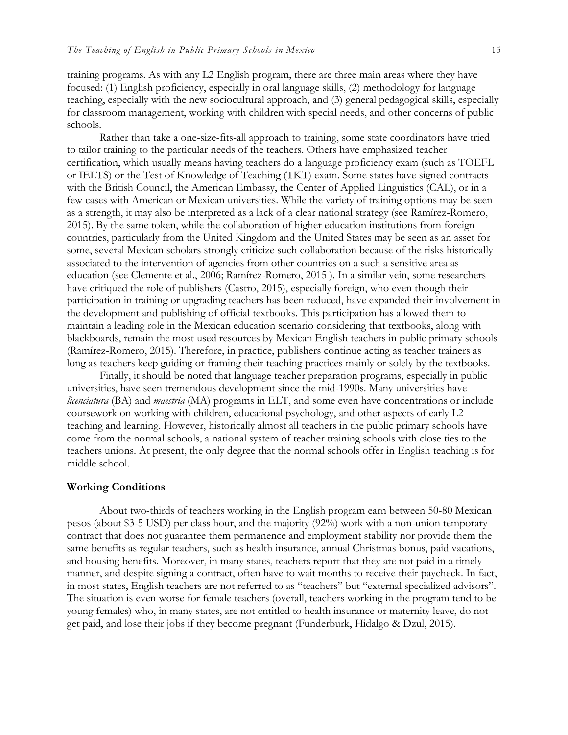training programs. As with any L2 English program, there are three main areas where they have focused: (1) English proficiency, especially in oral language skills, (2) methodology for language teaching, especially with the new sociocultural approach, and (3) general pedagogical skills, especially for classroom management, working with children with special needs, and other concerns of public schools.

Rather than take a one-size-fits-all approach to training, some state coordinators have tried to tailor training to the particular needs of the teachers. Others have emphasized teacher certification, which usually means having teachers do a language proficiency exam (such as TOEFL or IELTS) or the Test of Knowledge of Teaching (TKT) exam. Some states have signed contracts with the British Council, the American Embassy, the Center of Applied Linguistics (CAL), or in a few cases with American or Mexican universities. While the variety of training options may be seen as a strength, it may also be interpreted as a lack of a clear national strategy (see Ramírez-Romero, 2015). By the same token, while the collaboration of higher education institutions from foreign countries, particularly from the United Kingdom and the United States may be seen as an asset for some, several Mexican scholars strongly criticize such collaboration because of the risks historically associated to the intervention of agencies from other countries on a such a sensitive area as education (see Clemente et al., 2006; Ramírez-Romero, 2015 ). In a similar vein, some researchers have critiqued the role of publishers (Castro, 2015), especially foreign, who even though their participation in training or upgrading teachers has been reduced, have expanded their involvement in the development and publishing of official textbooks. This participation has allowed them to maintain a leading role in the Mexican education scenario considering that textbooks, along with blackboards, remain the most used resources by Mexican English teachers in public primary schools (Ramírez-Romero, 2015). Therefore, in practice, publishers continue acting as teacher trainers as long as teachers keep guiding or framing their teaching practices mainly or solely by the textbooks.

Finally, it should be noted that language teacher preparation programs, especially in public universities, have seen tremendous development since the mid-1990s. Many universities have *licenciatura* (BA) and *maestria* (MA) programs in ELT, and some even have concentrations or include coursework on working with children, educational psychology, and other aspects of early L2 teaching and learning. However, historically almost all teachers in the public primary schools have come from the normal schools, a national system of teacher training schools with close ties to the teachers unions. At present, the only degree that the normal schools offer in English teaching is for middle school.

#### **Working Conditions**

About two-thirds of teachers working in the English program earn between 50-80 Mexican pesos (about \$3-5 USD) per class hour, and the majority (92%) work with a non-union temporary contract that does not guarantee them permanence and employment stability nor provide them the same benefits as regular teachers, such as health insurance, annual Christmas bonus, paid vacations, and housing benefits. Moreover, in many states, teachers report that they are not paid in a timely manner, and despite signing a contract, often have to wait months to receive their paycheck. In fact, in most states, English teachers are not referred to as "teachers" but "external specialized advisors". The situation is even worse for female teachers (overall, teachers working in the program tend to be young females) who, in many states, are not entitled to health insurance or maternity leave, do not get paid, and lose their jobs if they become pregnant (Funderburk, Hidalgo & Dzul, 2015).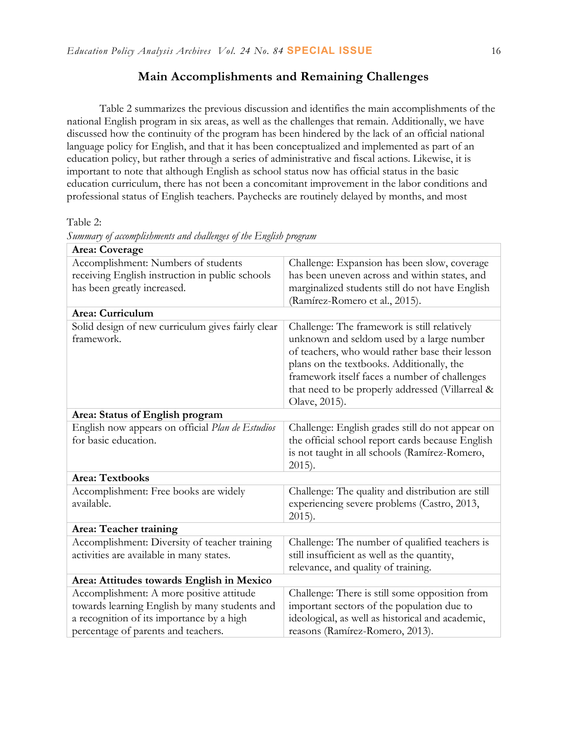# **Main Accomplishments and Remaining Challenges**

Table 2 summarizes the previous discussion and identifies the main accomplishments of the national English program in six areas, as well as the challenges that remain. Additionally, we have discussed how the continuity of the program has been hindered by the lack of an official national language policy for English, and that it has been conceptualized and implemented as part of an education policy, but rather through a series of administrative and fiscal actions. Likewise, it is important to note that although English as school status now has official status in the basic education curriculum, there has not been a concomitant improvement in the labor conditions and professional status of English teachers. Paychecks are routinely delayed by months, and most

Table 2:

| Summary of attompassments and tradenges of the English program                                                                                                                |                                                                                                                                                                                                                                                                                                                 |  |  |  |
|-------------------------------------------------------------------------------------------------------------------------------------------------------------------------------|-----------------------------------------------------------------------------------------------------------------------------------------------------------------------------------------------------------------------------------------------------------------------------------------------------------------|--|--|--|
| Area: Coverage                                                                                                                                                                |                                                                                                                                                                                                                                                                                                                 |  |  |  |
| Accomplishment: Numbers of students<br>receiving English instruction in public schools<br>has been greatly increased.                                                         | Challenge: Expansion has been slow, coverage<br>has been uneven across and within states, and<br>marginalized students still do not have English<br>(Ramírez-Romero et al., 2015).                                                                                                                              |  |  |  |
| Area: Curriculum                                                                                                                                                              |                                                                                                                                                                                                                                                                                                                 |  |  |  |
| Solid design of new curriculum gives fairly clear<br>framework.                                                                                                               | Challenge: The framework is still relatively<br>unknown and seldom used by a large number<br>of teachers, who would rather base their lesson<br>plans on the textbooks. Additionally, the<br>framework itself faces a number of challenges<br>that need to be properly addressed (Villarreal &<br>Olave, 2015). |  |  |  |
| Area: Status of English program                                                                                                                                               |                                                                                                                                                                                                                                                                                                                 |  |  |  |
| English now appears on official Plan de Estudios<br>for basic education.                                                                                                      | Challenge: English grades still do not appear on<br>the official school report cards because English<br>is not taught in all schools (Ramírez-Romero,<br>$2015$ ).                                                                                                                                              |  |  |  |
| <b>Area: Textbooks</b>                                                                                                                                                        |                                                                                                                                                                                                                                                                                                                 |  |  |  |
| Accomplishment: Free books are widely<br>available.                                                                                                                           | Challenge: The quality and distribution are still<br>experiencing severe problems (Castro, 2013,<br>$2015$ ).                                                                                                                                                                                                   |  |  |  |
| Area: Teacher training                                                                                                                                                        |                                                                                                                                                                                                                                                                                                                 |  |  |  |
| Accomplishment: Diversity of teacher training<br>activities are available in many states.                                                                                     | Challenge: The number of qualified teachers is<br>still insufficient as well as the quantity,<br>relevance, and quality of training.                                                                                                                                                                            |  |  |  |
| Area: Attitudes towards English in Mexico                                                                                                                                     |                                                                                                                                                                                                                                                                                                                 |  |  |  |
| Accomplishment: A more positive attitude<br>towards learning English by many students and<br>a recognition of its importance by a high<br>percentage of parents and teachers. | Challenge: There is still some opposition from<br>important sectors of the population due to<br>ideological, as well as historical and academic,<br>reasons (Ramírez-Romero, 2013).                                                                                                                             |  |  |  |

*Summary of accomplishments and challenges of the English program*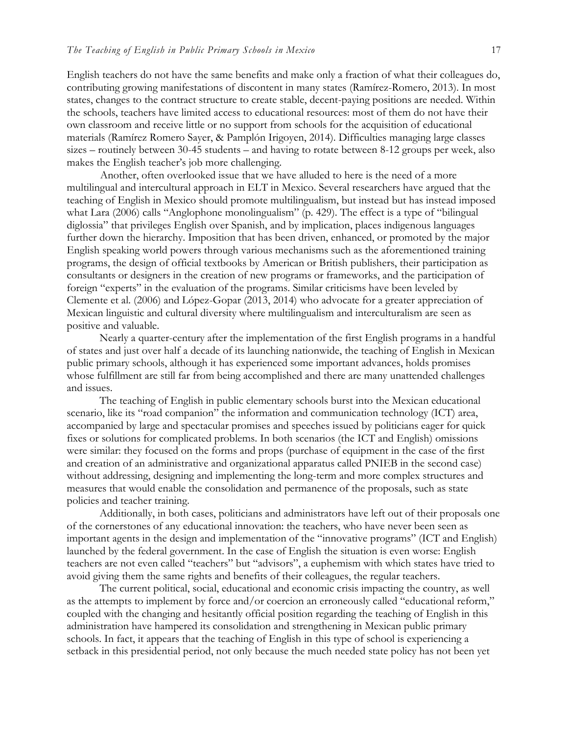English teachers do not have the same benefits and make only a fraction of what their colleagues do, contributing growing manifestations of discontent in many states (Ramírez-Romero, 2013). In most states, changes to the contract structure to create stable, decent-paying positions are needed. Within the schools, teachers have limited access to educational resources: most of them do not have their own classroom and receive little or no support from schools for the acquisition of educational materials (Ramírez Romero Sayer, & Pamplón Irigoyen, 2014). Difficulties managing large classes sizes – routinely between 30-45 students – and having to rotate between 8-12 groups per week, also makes the English teacher's job more challenging.

Another, often overlooked issue that we have alluded to here is the need of a more multilingual and intercultural approach in ELT in Mexico. Several researchers have argued that the teaching of English in Mexico should promote multilingualism, but instead but has instead imposed what Lara (2006) calls "Anglophone monolingualism" (p. 429). The effect is a type of "bilingual" diglossia" that privileges English over Spanish, and by implication, places indigenous languages further down the hierarchy. Imposition that has been driven, enhanced, or promoted by the major English speaking world powers through various mechanisms such as the aforementioned training programs, the design of official textbooks by American or British publishers, their participation as consultants or designers in the creation of new programs or frameworks, and the participation of foreign "experts" in the evaluation of the programs. Similar criticisms have been leveled by Clemente et al. (2006) and López-Gopar (2013, 2014) who advocate for a greater appreciation of Mexican linguistic and cultural diversity where multilingualism and interculturalism are seen as positive and valuable.

Nearly a quarter-century after the implementation of the first English programs in a handful of states and just over half a decade of its launching nationwide, the teaching of English in Mexican public primary schools, although it has experienced some important advances, holds promises whose fulfillment are still far from being accomplished and there are many unattended challenges and issues.

The teaching of English in public elementary schools burst into the Mexican educational scenario, like its "road companion" the information and communication technology (ICT) area, accompanied by large and spectacular promises and speeches issued by politicians eager for quick fixes or solutions for complicated problems. In both scenarios (the ICT and English) omissions were similar: they focused on the forms and props (purchase of equipment in the case of the first and creation of an administrative and organizational apparatus called PNIEB in the second case) without addressing, designing and implementing the long-term and more complex structures and measures that would enable the consolidation and permanence of the proposals, such as state policies and teacher training.

Additionally, in both cases, politicians and administrators have left out of their proposals one of the cornerstones of any educational innovation: the teachers, who have never been seen as important agents in the design and implementation of the "innovative programs" (ICT and English) launched by the federal government. In the case of English the situation is even worse: English teachers are not even called "teachers" but "advisors", a euphemism with which states have tried to avoid giving them the same rights and benefits of their colleagues, the regular teachers.

The current political, social, educational and economic crisis impacting the country, as well as the attempts to implement by force and/or coercion an erroneously called "educational reform," coupled with the changing and hesitantly official position regarding the teaching of English in this administration have hampered its consolidation and strengthening in Mexican public primary schools. In fact, it appears that the teaching of English in this type of school is experiencing a setback in this presidential period, not only because the much needed state policy has not been yet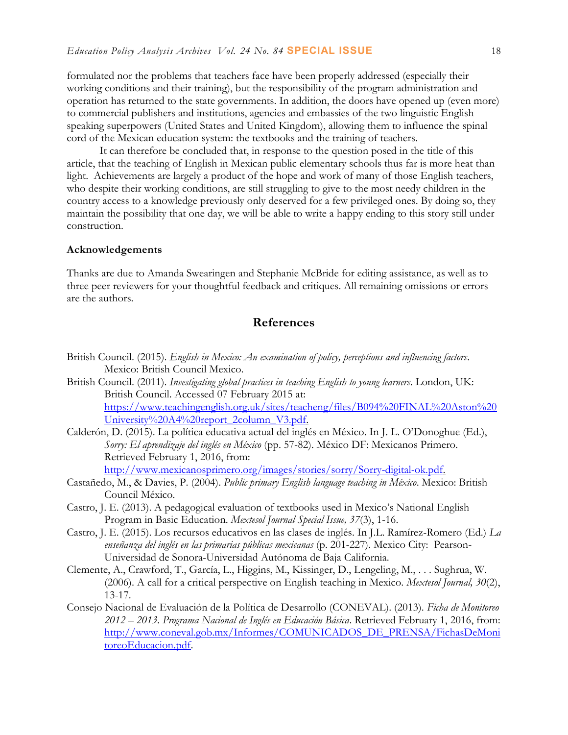formulated nor the problems that teachers face have been properly addressed (especially their working conditions and their training), but the responsibility of the program administration and operation has returned to the state governments. In addition, the doors have opened up (even more) to commercial publishers and institutions, agencies and embassies of the two linguistic English speaking superpowers (United States and United Kingdom), allowing them to influence the spinal cord of the Mexican education system: the textbooks and the training of teachers.

It can therefore be concluded that, in response to the question posed in the title of this article, that the teaching of English in Mexican public elementary schools thus far is more heat than light. Achievements are largely a product of the hope and work of many of those English teachers, who despite their working conditions, are still struggling to give to the most needy children in the country access to a knowledge previously only deserved for a few privileged ones. By doing so, they maintain the possibility that one day, we will be able to write a happy ending to this story still under construction.

#### **Acknowledgements**

Thanks are due to Amanda Swearingen and Stephanie McBride for editing assistance, as well as to three peer reviewers for your thoughtful feedback and critiques. All remaining omissions or errors are the authors.

## **References**

- British Council. (2015). *English in Mexico: An examination of policy, perceptions and influencing factors*. Mexico: British Council Mexico.
- British Council. (2011). *Investigating global practices in teaching English to young learners*. London, UK: British Council. Accessed 07 February 2015 at: [https://www.teachingenglish.org.uk/sites/teacheng/files/B094%20FINAL%20Aston%20](https://www.teachingenglish.org.uk/sites/teacheng/files/B094%20FINAL%20Aston%20University%20A4%20report_2column_V3.pdf) [University%20A4%20report\\_2column\\_V3.pdf.](https://www.teachingenglish.org.uk/sites/teacheng/files/B094%20FINAL%20Aston%20University%20A4%20report_2column_V3.pdf)
- Calderón, D. (2015). La política educativa actual del inglés en México. In J. L. O'Donoghue (Ed.), *Sorry: El aprendizaje del inglés en México* (pp. 57-82). México DF: Mexicanos Primero. Retrieved February 1, 2016, from:

[http://www.mexicanosprimero.org/images/stories/sorry/Sorry-digital-ok.pdf.](http://www.mexicanosprimero.org/images/stories/sorry/Sorry-digital-ok.pdf)

- Castañedo, M., & Davies, P. (2004). *Public primary English language teaching in México*. Mexico: British Council México.
- Castro, J. E. (2013). A pedagogical evaluation of textbooks used in Mexico's National English Program in Basic Education. *Mextesol Journal Special Issue, 37*(3), 1-16.
- Castro, J. E. (2015). Los recursos educativos en las clases de inglés. In J.L. Ramírez-Romero (Ed.) *La enseñanza del inglés en las primarias públicas mexicanas* (p. 201-227). Mexico City: Pearson-Universidad de Sonora-Universidad Autónoma de Baja California.
- Clemente, A., Crawford, T., García, L., Higgins, M., Kissinger, D., Lengeling, M., . . . Sughrua, W. (2006). A call for a critical perspective on English teaching in Mexico. *Mextesol Journal, 30*(2), 13-17.
- Consejo Nacional de Evaluación de la Política de Desarrollo (CONEVAL). (2013). *Ficha de Monitoreo 2012 – 2013. Programa Nacional de Inglés en Educación Básica*. Retrieved February 1, 2016, from: [http://www.coneval.gob.mx/Informes/COMUNICADOS\\_DE\\_PRENSA/FichasDeMoni](http://www.coneval.gob.mx/Informes/COMUNICADOS_DE_PRENSA/FichasDeMonitoreoEducacion.pdf) [toreoEducacion.pdf.](http://www.coneval.gob.mx/Informes/COMUNICADOS_DE_PRENSA/FichasDeMonitoreoEducacion.pdf)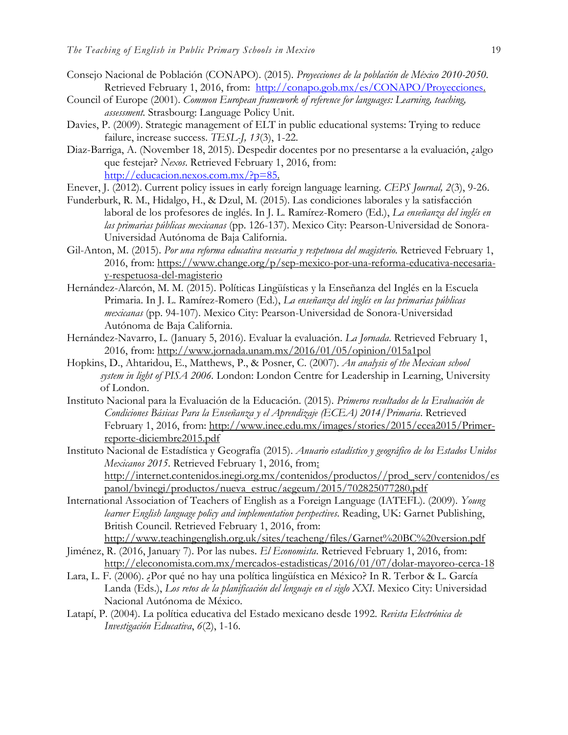- Consejo Nacional de Población (CONAPO). (2015). *Proyecciones de la población de México 2010-2050*. Retrieved February 1, 2016, from: [http://conapo.gob.mx/es/CONAPO/Proyecciones.](http://conapo.gob.mx/es/CONAPO/Proyecciones)
- Council of Europe (2001). *Common European framework of reference for languages: Learning, teaching, assessment.* Strasbourg: Language Policy Unit.
- Davies, P. (2009). Strategic management of ELT in public educational systems: Trying to reduce failure, increase success. *TESL-J, 13*(3), 1-22.
- Diaz-Barriga, A. (November 18, 2015). Despedir docentes por no presentarse a la evaluación, ¿algo que festejar? *Nexos*. Retrieved February 1, 2016, from: [http://educacion.nexos.com.mx/?p=85.](http://educacion.nexos.com.mx/?p=85)
- Enever, J. (2012). Current policy issues in early foreign language learning. *CEPS Journal, 2*(3), 9-26.
- Funderburk, R. M., Hidalgo, H., & Dzul, M. (2015). Las condiciones laborales y la satisfacción laboral de los profesores de inglés. In J. L. Ramírez-Romero (Ed.), *La enseñanza del inglés en las primarias públicas mexicanas* (pp. 126-137). Mexico City: Pearson-Universidad de Sonora-Universidad Autónoma de Baja California.
- Gil-Anton, M. (2015). *Por una reforma educativa necesaria y respetuosa del magisterio*. Retrieved February 1, 2016, from: [https://www.change.org/p/sep-mexico-por-una-reforma-educativa-necesaria](https://www.change.org/p/sep-mexico-por-una-reforma-educativa-necesaria-y-respetuosa-del-magisterio)[y-respetuosa-del-magisterio](https://www.change.org/p/sep-mexico-por-una-reforma-educativa-necesaria-y-respetuosa-del-magisterio)
- Hernández-Alarcón, M. M. (2015). Políticas Lingüísticas y la Enseñanza del Inglés en la Escuela Primaria. In J. L. Ramírez-Romero (Ed.), *La enseñanza del inglés en las primarias públicas mexicanas* (pp. 94-107). Mexico City: Pearson-Universidad de Sonora-Universidad Autónoma de Baja California.
- Hernández-Navarro, L. (January 5, 2016). Evaluar la evaluación. *La Jornada*. Retrieved February 1, 2016, from:<http://www.jornada.unam.mx/2016/01/05/opinion/015a1pol>
- Hopkins, D., Ahtaridou, E., Matthews, P., & Posner, C. (2007). *An analysis of the Mexican school system in light of PISA 2006.* London: London Centre for Leadership in Learning, University of London.
- Instituto Nacional para la Evaluación de la Educación. (2015). *Primeros resultados de la Evaluación de Condiciones Básicas Para la Enseñanza y el Aprendizaje (ECEA) 2014/Primaria*. Retrieved February 1, 2016, from: [http://www.inee.edu.mx/images/stories/2015/ecea2015/Primer](http://www.inee.edu.mx/images/stories/2015/ecea2015/Primer-reporte-diciembre2015.pdf)[reporte-diciembre2015.pdf](http://www.inee.edu.mx/images/stories/2015/ecea2015/Primer-reporte-diciembre2015.pdf)
- Instituto Nacional de Estadística y Geografía (2015). *Anuario estadístico y geográfico de los Estados Unidos Mexicanos 2015*. Retrieved February 1, 2016, from: [http://internet.contenidos.inegi.org.mx/contenidos/productos//prod\\_serv/contenidos/es](http://internet.contenidos.inegi.org.mx/contenidos/productos/prod_serv/contenidos/espanol/bvinegi/productos/nueva_estruc/aegeum/2015/702825077280.pdf) [panol/bvinegi/productos/nueva\\_estruc/aegeum/2015/702825077280.pdf](http://internet.contenidos.inegi.org.mx/contenidos/productos/prod_serv/contenidos/espanol/bvinegi/productos/nueva_estruc/aegeum/2015/702825077280.pdf)
- International Association of Teachers of English as a Foreign Language (IATEFL). (2009). *Young learner English language policy and implementation perspectives*. Reading, UK: Garnet Publishing, British Council. Retrieved February 1, 2016, from:

<http://www.teachingenglish.org.uk/sites/teacheng/files/Garnet%20BC%20version.pdf> Jiménez, R. (2016, January 7). Por las nubes. *El Economista*. Retrieved February 1, 2016, from:

- <http://eleconomista.com.mx/mercados-estadisticas/2016/01/07/dolar-mayoreo-cerca-18>
- Lara, L. F. (2006). ¿Por qué no hay una política lingüística en México? In R. Terbor & L. García Landa (Eds.), *Los retos de la planificación del lenguaje en el siglo XXI*. Mexico City: Universidad Nacional Autónoma de México.
- Latapí, P. (2004). La política educativa del Estado mexicano desde 1992. *Revista Electrónica de Investigación Educativa*, *6*(2), 1-16.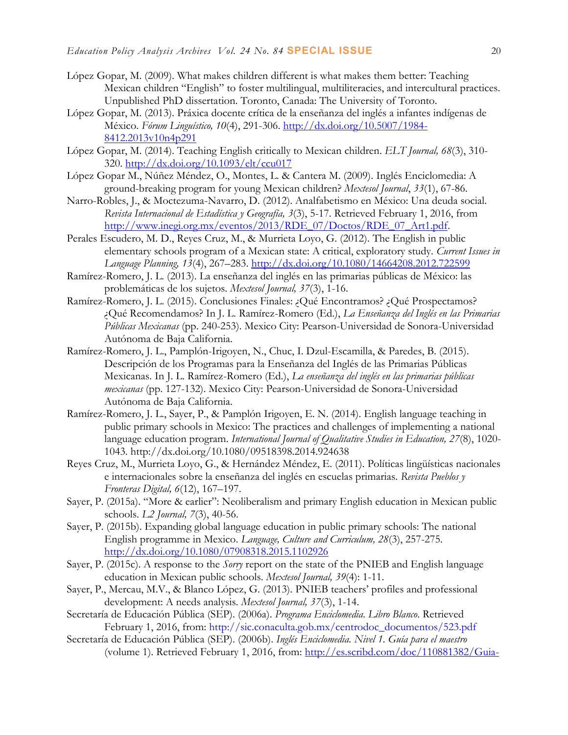- López Gopar, M. (2009). What makes children different is what makes them better: Teaching Mexican children "English" to foster multilingual, multiliteracies, and intercultural practices. Unpublished PhD dissertation. Toronto, Canada: The University of Toronto.
- López Gopar, M. (2013). Práxica docente crítica de la enseñanza del inglés a infantes indígenas de México. *Fórum Linguístico, 10*(4), 291-306. [http://dx.doi.org/10.5007/1984-](http://dx.doi.org/10.5007/1984-8412.2013v10n4p291) [8412.2013v10n4p291](http://dx.doi.org/10.5007/1984-8412.2013v10n4p291)
- López Gopar, M. (2014). Teaching English critically to Mexican children. *ELT Journal, 68*(3), 310- 320. <http://dx.doi.org/10.1093/elt/ccu017>
- López Gopar M., Núñez Méndez, O., Montes, L. & Cantera M. (2009). Inglés Enciclomedia: A ground-breaking program for young Mexican children? *Mextesol Journal*, *33*(1), 67-86.
- Narro-Robles, J., & Moctezuma-Navarro, D. (2012). Analfabetismo en México: Una deuda social. *Revista Internacional de Estadística y Geografía, 3*(3), 5-17. Retrieved February 1, 2016, from [http://www.inegi.org.mx/eventos/2013/RDE\\_07/Doctos/RDE\\_07\\_Art1.pdf.](http://www.inegi.org.mx/eventos/2013/RDE_07/Doctos/RDE_07_Art1.pdf)
- Perales Escudero, M. D., Reyes Cruz, M., & Murrieta Loyo, G. (2012). The English in public elementary schools program of a Mexican state: A critical, exploratory study. *Current Issues in Language Planning, 13*(4), 267–283. <http://dx.doi.org/10.1080/14664208.2012.722599>
- Ramírez-Romero, J. L. (2013). La enseñanza del inglés en las primarias públicas de México: las problemáticas de los sujetos. *Mextesol Journal, 37*(3), 1-16.
- Ramírez-Romero, J. L. (2015). Conclusiones Finales: ¿Qué Encontramos? ¿Qué Prospectamos? ¿Qué Recomendamos? In J. L. Ramírez-Romero (Ed.), *La Enseñanza del Inglés en las Primarias Públicas Mexicanas* (pp. 240-253). Mexico City: Pearson-Universidad de Sonora-Universidad Autónoma de Baja California.
- Ramírez-Romero, J. L., Pamplón-Irigoyen, N., Chuc, I. Dzul-Escamilla, & Paredes, B. (2015). Descripción de los Programas para la Enseñanza del Inglés de las Primarias Públicas Mexicanas. In J. L. Ramírez-Romero (Ed.), *La enseñanza del inglés en las primarias públicas mexicanas* (pp. 127-132). Mexico City: Pearson-Universidad de Sonora-Universidad Autónoma de Baja California.
- Ramírez-Romero, J. L., Sayer, P., & Pamplón Irigoyen, E. N. (2014). English language teaching in public primary schools in Mexico: The practices and challenges of implementing a national language education program. *International Journal of Qualitative Studies in Education, 27*(8), 1020- 1043. http://dx.doi.org/10.1080/09518398.2014.924638
- Reyes Cruz, M., Murrieta Loyo, G., & Hernández Méndez, E. (2011). Políticas lingüísticas nacionales e internacionales sobre la enseñanza del inglés en escuelas primarias. *Revista Pueblos y Fronteras Digital, 6*(12), 167–197.
- Sayer, P. (2015a). "More & earlier": Neoliberalism and primary English education in Mexican public schools. *L2 Journal, 7*(3), 40-56.
- Sayer, P. (2015b). Expanding global language education in public primary schools: The national English programme in Mexico. *Language, Culture and Curriculum, 28*(3), 257-275. <http://dx.doi.org/10.1080/07908318.2015.1102926>
- Sayer, P. (2015c). A response to the *Sorry* report on the state of the PNIEB and English language education in Mexican public schools. *Mextesol Journal, 39*(4): 1-11.
- Sayer, P., Mercau, M.V., & Blanco López, G. (2013). PNIEB teachers' profiles and professional development: A needs analysis. *Mextesol Journal, 37*(3), 1-14.
- Secretaría de Educación Pública (SEP). (2006a). *Programa Enciclomedia. Libro Blanco*. Retrieved February 1, 2016, from: [http://sic.conaculta.gob.mx/centrodoc\\_documentos/523.pdf](http://sic.conaculta.gob.mx/centrodoc_documentos/523.pdf)
- Secretaría de Educación Pública (SEP). (2006b). *Inglés Enciclomedia. Nivel 1. Guía para el maestro* (volume 1). Retrieved February 1, 2016, from: [http://es.scribd.com/doc/110881382/Guia-](http://es.scribd.com/doc/110881382/Guia-para-el-maestro-Ingles-Enciclomedia-Nivel-1-Volumen-1)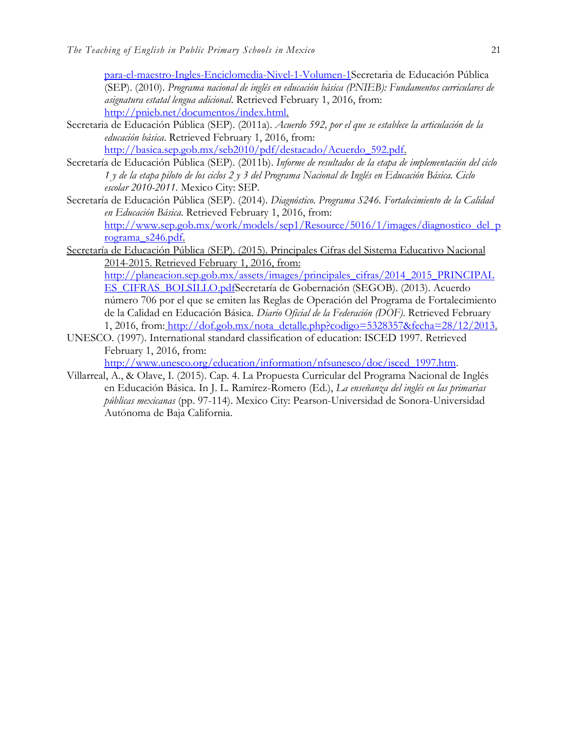[para-el-maestro-Ingles-Enciclomedia-Nivel-1-Volumen-1S](http://es.scribd.com/doc/110881382/Guia-para-el-maestro-Ingles-Enciclomedia-Nivel-1-Volumen-1)ecretaria de Educación Pública (SEP). (2010). *Programa nacional de inglés en educación básica (PNIEB): Fundamentos curriculares de asignatura estatal lengua adicional*. Retrieved February 1, 2016, from: [http://pnieb.net/documentos/index.html.](http://pnieb.net/documentos/index.html)

Secretaria de Educación Pública (SEP). (2011a). *Acuerdo 592, por el que se establece la articulación de la educación básica*. Retrieved February 1, 2016, from:

[http://basica.sep.gob.mx/seb2010/pdf/destacado/Acuerdo\\_592.pdf.](http://basica.sep.gob.mx/seb2010/pdf/destacado/Acuerdo_592.pdf)

- Secretaría de Educación Pública (SEP). (2011b). *Informe de resultados de la etapa de implementación del ciclo 1 y de la etapa piloto de los ciclos 2 y 3 del Programa Nacional de Inglés en Educación Básica. Ciclo escolar 2010-2011.* Mexico City: SEP.
- Secretaría de Educación Pública (SEP). (2014). *Diagnóstico. Programa S246. Fortalecimiento de la Calidad en Educación Básica*. Retrieved February 1, 2016, from: [http://www.sep.gob.mx/work/models/sep1/Resource/5016/1/images/diagnostico\\_del\\_p](http://www.sep.gob.mx/work/models/sep1/Resource/5016/1/images/diagnostico_del_programa_s246.pdf) [rograma\\_s246.pdf.](http://www.sep.gob.mx/work/models/sep1/Resource/5016/1/images/diagnostico_del_programa_s246.pdf)
- Secretaría de Educación Pública (SEP). (2015). Principales Cifras del Sistema Educativo Nacional 2014-2015. Retrieved February 1, 2016, from: [http://planeacion.sep.gob.mx/assets/images/principales\\_cifras/2014\\_2015\\_PRINCIPAL](http://planeacion.sep.gob.mx/assets/images/principales_cifras/2014_2015_PRINCIPALES_CIFRAS_BOLSILLO.pdf)

[ES\\_CIFRAS\\_BOLSILLO.pdfS](http://planeacion.sep.gob.mx/assets/images/principales_cifras/2014_2015_PRINCIPALES_CIFRAS_BOLSILLO.pdf)ecretaría de Gobernación (SEGOB). (2013). Acuerdo número 706 por el que se emiten las Reglas de Operación del Programa de Fortalecimiento de la Calidad en Educación Básica. *Diario Oficial de la Federación (DOF)*. Retrieved February 1, 2016, from: [http://dof.gob.mx/nota\\_detalle.php?codigo=5328357&fecha=28/12/2013.](http://dof.gob.mx/nota_detalle.php?codigo=5328357&fecha=28/12/2013)

UNESCO. (1997). International standard classification of education: ISCED 1997. Retrieved February 1, 2016, from:

[http://www.unesco.org/education/information/nfsunesco/doc/isced\\_1997.htm.](http://www.unesco.org/education/information/nfsunesco/doc/isced_1997.htm)

Villarreal, A., & Olave, I. (2015). Cap. 4. La Propuesta Curricular del Programa Nacional de Inglés en Educación Básica. In J. L. Ramírez-Romero (Ed.), *La enseñanza del inglés en las primarias públicas mexicanas* (pp. 97-114). Mexico City: Pearson-Universidad de Sonora-Universidad Autónoma de Baja California.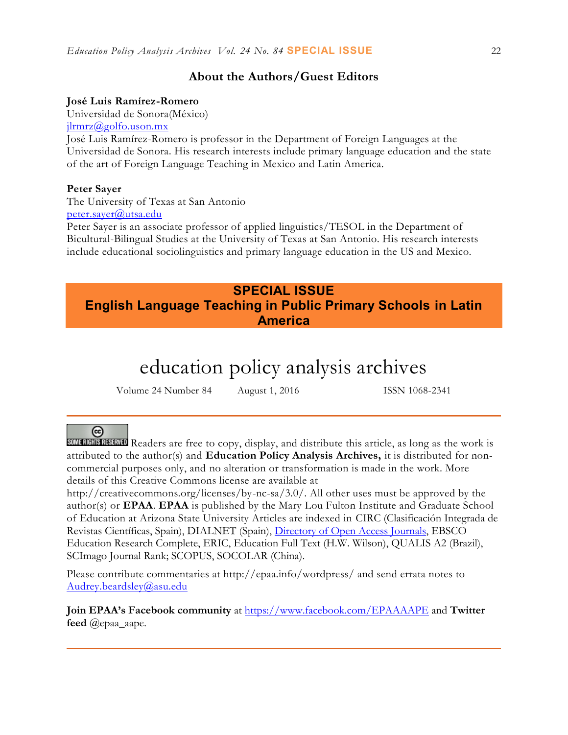## **About the Authors/Guest Editors**

### **José Luis Ramírez-Romero**

Universidad de Sonora(México) [jlrmrz@golfo.uson.mx](mailto:jlrmrz@golfo.uson.mx)

José Luis Ramírez-Romero is professor in the Department of Foreign Languages at the Universidad de Sonora. His research interests include primary language education and the state of the art of Foreign Language Teaching in Mexico and Latin America.

### **Peter Sayer**

The University of Texas at San Antonio [peter.sayer@utsa.edu](mailto:peter.sayer@utsa.edu)

Peter Sayer is an associate professor of applied linguistics/TESOL in the Department of Bicultural-Bilingual Studies at the University of Texas at San Antonio. His research interests include educational sociolinguistics and primary language education in the US and Mexico.

# **SPECIAL ISSUE English Language Teaching in Public Primary Schools in Latin America**

# education policy analysis archives

Volume 24 Number 84 August 1, 2016 ISSN 1068-2341

# $(c<sub>c</sub>)$

SOME RIGHTS RESERVED Readers are free to copy, display, and distribute this article, as long as the work is attributed to the author(s) and **Education Policy Analysis Archives,** it is distributed for noncommercial purposes only, and no alteration or transformation is made in the work. More details of this Creative Commons license are available at

http://creativecommons.org/licenses/by-nc-sa/3.0/. All other uses must be approved by the author(s) or **EPAA**. **EPAA** is published by the Mary Lou Fulton Institute and Graduate School of Education at Arizona State University Articles are indexed in CIRC (Clasificación Integrada de Revistas Científicas, Spain), DIALNET (Spain), [Directory of Open Access Journals,](http://www.doaj.org/) EBSCO Education Research Complete, ERIC, Education Full Text (H.W. Wilson), QUALIS A2 (Brazil), SCImago Journal Rank; SCOPUS, SOCOLAR (China).

Please contribute commentaries at http://epaa.info/wordpress/ and send errata notes to [Audrey.beardsley@asu.edu](mailto:Audrey.beardsley@asu.edu)

**Join EPAA's Facebook community** at<https://www.facebook.com/EPAAAAPE> and **Twitter feed** @epaa\_aape.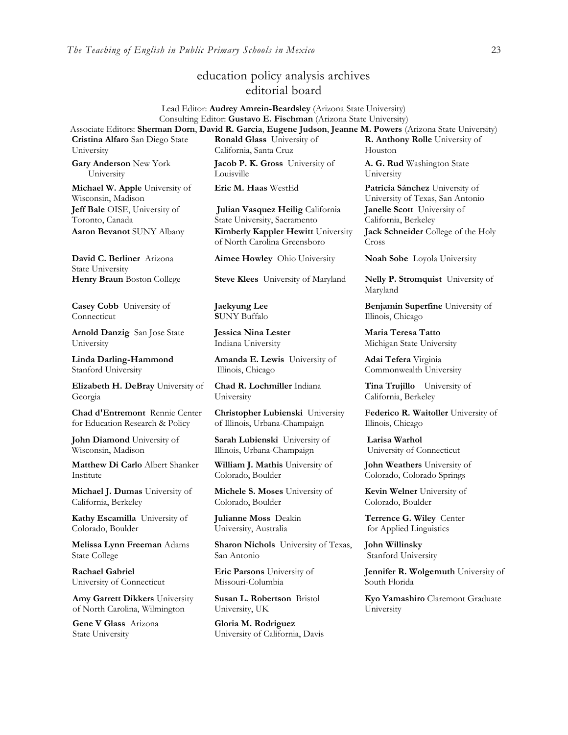## education policy analysis archives editorial board

#### Lead Editor: **Audrey Amrein-Beardsley** (Arizona State University) Consulting Editor: **Gustavo E. Fischman** (Arizona State University) Associate Editors: **Sherman Dorn**, **David R. Garcia**, **Eugene Judson**, **Jeanne M. Powers** (Arizona State University)

**Cristina Alfaro** San Diego State University

**Gary Anderson** New York University

**Michael W. Apple** University of Wisconsin, Madison **Jeff Bale** OISE, University of Toronto, Canada

**David C. Berliner** Arizona State University

**Casey Cobb** University of Connecticut

**Arnold Danzig** San Jose State University

**Linda Darling-Hammond**  Stanford University

**Elizabeth H. DeBray** University of Georgia

**Chad d'Entremont** Rennie Center for Education Research & Policy

**John Diamond** University of Wisconsin, Madison

**Matthew Di Carlo** Albert Shanker Institute

**Michael J. Dumas** University of California, Berkeley

**Kathy Escamilla** University of Colorado, Boulder

**Melissa Lynn Freeman** Adams State College

**Rachael Gabriel** University of Connecticut

**Amy Garrett Dikkers** University of North Carolina, Wilmington

**Gene V Glass** Arizona State University

**Ronald Glass** University of California, Santa Cruz

**Jacob P. K. Gross** University of Louisville

**Julian Vasquez Heilig** California State University, Sacramento **Aaron Bevanot** SUNY Albany **Kimberly Kappler Hewitt** University of North Carolina Greensboro

**Aimee Howley** Ohio University **Noah Sobe** Loyola University

**Henry Braun** Boston College **Steve Klees** University of Maryland **Nelly P. Stromquist** University of

**Jaekyung Lee S**UNY Buffalo

**Jessica Nina Lester** Indiana University

**Amanda E. Lewis** University of Illinois, Chicago

**Chad R. Lochmiller** Indiana University

**Christopher Lubienski** University of Illinois, Urbana-Champaign

**Sarah Lubienski** University of Illinois, Urbana-Champaign

**William J. Mathis** University of Colorado, Boulder

**Michele S. Moses** University of Colorado, Boulder

**Julianne Moss** Deakin University, Australia

**Sharon Nichols** University of Texas, San Antonio

**Eric Parsons** University of Missouri-Columbia

**Susan L. Robertson** Bristol University, UK

**Gloria M. Rodriguez** University of California, Davis **R. Anthony Rolle** University of Houston **A. G. Rud** Washington State University

**Eric M. Haas** WestEd **Patricia Sánchez** University of University of Texas, San Antonio **Janelle Scott** University of California, Berkeley **Jack Schneider** College of the Holy Cross

Maryland

**Benjamin Superfine** University of Illinois, Chicago

**Maria Teresa Tatto**  Michigan State University

**Adai Tefera** Virginia Commonwealth University

**Tina Trujillo** University of California, Berkeley

**Federico R. Waitoller** University of Illinois, Chicago

**Larisa Warhol** University of Connecticut

**John Weathers** University of Colorado, Colorado Springs

**Kevin Welner** University of Colorado, Boulder

**Terrence G. Wiley** Center for Applied Linguistics

**John Willinsky**  Stanford University

**Jennifer R. Wolgemuth University of** South Florida

**Kyo Yamashiro** Claremont Graduate University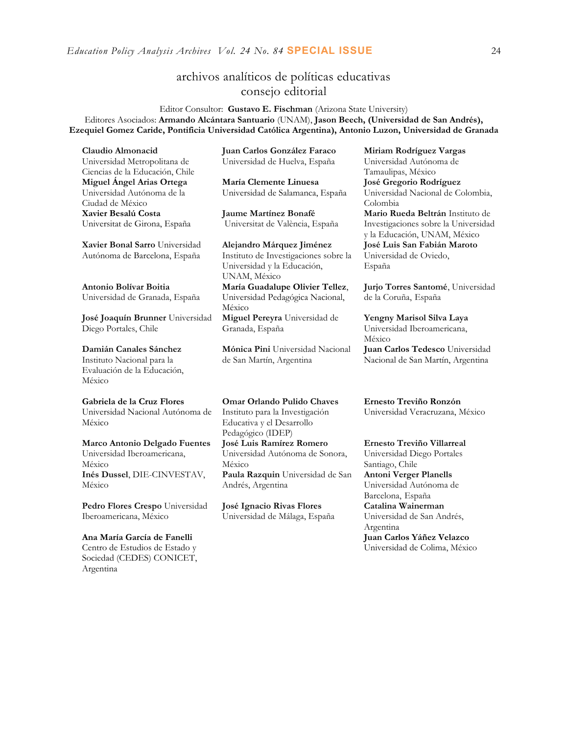*Education Policy Analysis Archives Vol. 24 No. 84* **SPECIAL ISSUE** 24

## archivos analíticos de políticas educativas consejo editorial

Editor Consultor: **Gustavo E. Fischman** (Arizona State University) Editores Asociados: **Armando Alcántara Santuario** (UNAM), **Jason Beech, (Universidad de San Andrés), Ezequiel Gomez Caride, Pontificia Universidad Católica Argentina), Antonio Luzon, Universidad de Granada**

**Claudio Almonacid** Universidad Metropolitana de Ciencias de la Educación, Chile **Miguel Ángel Arias Ortega**  Universidad Autónoma de la Ciudad de México **Xavier Besalú Costa**  Universitat de Girona, España

**[Xavier Bonal](javascript:openRTWindow() Sarro** Universidad Autónoma de Barcelona, España

**[Antonio Bolívar](javascript:openRTWindow() Boitia** Universidad de Granada, España

**[José Joaquín Brunner](javascript:openRTWindow()** Universidad Diego Portales, Chile

**[Damián Canales Sánchez](javascript:openRTWindow()** Instituto Nacional para la Evaluación de la Educación, México

**Gabriela de la Cruz Flores** Universidad Nacional Autónoma de México

**[Marco Antonio Delgado Fuentes](javascript:openRTWindow()** Universidad Iberoamericana, México **[Inés Dussel](javascript:openRTWindow()**, DIE-CINVESTAV, México

**[Pedro Flores Crespo](javascript:openRTWindow()** Universidad Iberoamericana, México

**Ana María García de Fanelli**  Centro de Estudios de Estado y Sociedad (CEDES) CONICET, Argentina

**Juan Carlos González Faraco**  Universidad de Huelva, España

**María Clemente Linuesa**  Universidad de Salamanca, España

**Jaume Martínez Bonafé** Universitat de València, España

**Alejandro Márquez Jiménez**  Instituto de Investigaciones sobre la Universidad y la Educación, UNAM, México **María Guadalupe Olivier Tellez**,

Universidad Pedagógica Nacional, México

**[Miguel Pereyra](javascript:openRTWindow()** Universidad de Granada, España

**[Mónica Pini](javascript:openRTWindow()** Universidad Nacional de San Martín, Argentina

**Omar Orlando Pulido Chaves** Instituto para la Investigación Educativa y el Desarrollo Pedagógico (IDEP) **[José Luis Ramírez](javascript:openRTWindow() Romero** Universidad Autónoma de Sonora, México **[Paula Razquin](javascript:openRTWindow()** Universidad de San Andrés, Argentina

**José Ignacio Rivas Flores** Universidad de Málaga, España **[Miriam Rodríguez Vargas](javascript:openRTWindow()** Universidad Autónoma de Tamaulipas, México **José Gregorio Rodríguez**  Universidad Nacional de Colombia, Colombia **[Mario Rueda Beltrán](javascript:openRTWindow()** Instituto de Investigaciones sobre la Universidad y la Educación, UNAM, México **José Luis San Fabián Maroto**  Universidad de Oviedo, España

**[Jurjo Torres Santomé](javascript:openRTWindow()**, Universidad de la Coruña, España

**[Yengny Marisol Silva Laya](javascript:openRTWindow()** Universidad Iberoamericana, México **Juan Carlos Tedesco** Universidad Nacional de San Martín, Argentina

**Ernesto Treviño Ronzón** Universidad Veracruzana, México

**[Ernesto Treviño](javascript:openRTWindow() Villarreal** Universidad Diego Portales Santiago, Chile **[Antoni Verger Planells](javascript:openRTWindow()** Universidad Autónoma de Barcelona, España **[Catalina Wainerman](javascript:openRTWindow()** Universidad de San Andrés, Argentina **Juan Carlos Yáñez Velazco** Universidad de Colima, México